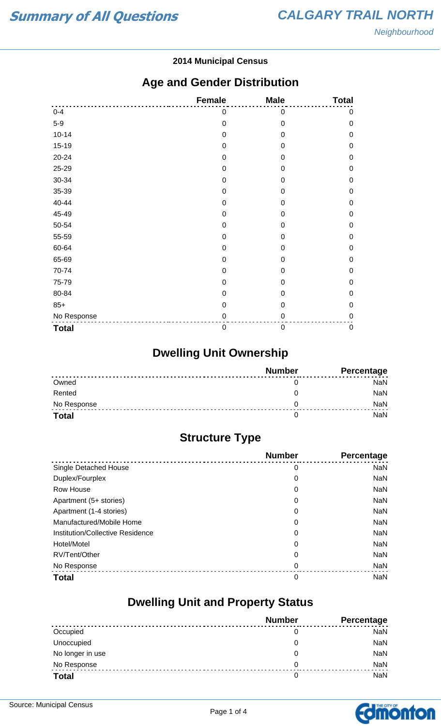#### **2014 Municipal Census**

### **Age and Gender Distribution**

|              | <b>Female</b> | <b>Male</b>      | <b>Total</b> |
|--------------|---------------|------------------|--------------|
| $0 - 4$      | 0             | $\mathbf 0$      | $\mathbf 0$  |
| $5-9$        | $\mathbf 0$   | $\mathbf 0$      | $\mathbf 0$  |
| $10 - 14$    | $\mathbf 0$   | $\mathbf 0$      | $\mathbf 0$  |
| $15-19$      | 0             | 0                | $\mathbf 0$  |
| 20-24        | $\mathbf 0$   | 0                | $\mathbf 0$  |
| 25-29        | 0             | $\mathbf 0$      | $\mathbf 0$  |
| 30-34        | 0             | $\overline{0}$   | $\mathbf 0$  |
| 35-39        | $\mathbf 0$   | 0                | $\mathbf 0$  |
| 40-44        | 0             | 0                | $\mathbf 0$  |
| 45-49        | 0             | 0                | $\mathbf 0$  |
| 50-54        | $\mathbf 0$   | $\mathbf 0$      | $\mathbf 0$  |
| 55-59        | $\mathbf 0$   | $\mathbf 0$      | $\mathbf 0$  |
| 60-64        | 0             | 0                | $\mathbf 0$  |
| 65-69        | $\mathbf 0$   | 0                | $\mathbf 0$  |
| 70-74        | 0             | $\mathbf 0$      | $\mathbf 0$  |
| 75-79        | 0             | $\overline{0}$   | $\mathbf 0$  |
| 80-84        | 0             | 0                | $\mathbf 0$  |
| $85+$        | $\mathbf 0$   | $\mathbf 0$      | $\mathbf 0$  |
| No Response  | 0             | 0                | $\mathbf 0$  |
| <b>Total</b> | $\mathbf 0$   | $\boldsymbol{0}$ | $\pmb{0}$    |

# **Dwelling Unit Ownership**

|              | <b>Number</b> | Percentage |
|--------------|---------------|------------|
| Owned        |               | NaN        |
| Rented       |               | NaN        |
| No Response  |               | <b>NaN</b> |
| <b>Total</b> |               | NaN        |

## **Structure Type**

|                                  | <b>Number</b> | <b>Percentage</b> |
|----------------------------------|---------------|-------------------|
| Single Detached House            | 0             | <b>NaN</b>        |
| Duplex/Fourplex                  | 0             | <b>NaN</b>        |
| Row House                        | 0             | <b>NaN</b>        |
| Apartment (5+ stories)           | 0             | <b>NaN</b>        |
| Apartment (1-4 stories)          | 0             | <b>NaN</b>        |
| Manufactured/Mobile Home         | 0             | <b>NaN</b>        |
| Institution/Collective Residence | 0             | <b>NaN</b>        |
| Hotel/Motel                      | 0             | <b>NaN</b>        |
| RV/Tent/Other                    | 0             | <b>NaN</b>        |
| No Response                      | 0             | <b>NaN</b>        |
| <b>Total</b>                     | 0             | <b>NaN</b>        |

### **Dwelling Unit and Property Status**

|                  | <b>Number</b> | <b>Percentage</b> |
|------------------|---------------|-------------------|
| Occupied         |               | NaN               |
| Unoccupied       | O             | <b>NaN</b>        |
| No longer in use | O             | <b>NaN</b>        |
| No Response      | 0             | <b>NaN</b>        |
| <b>Total</b>     | 0             | <b>NaN</b>        |

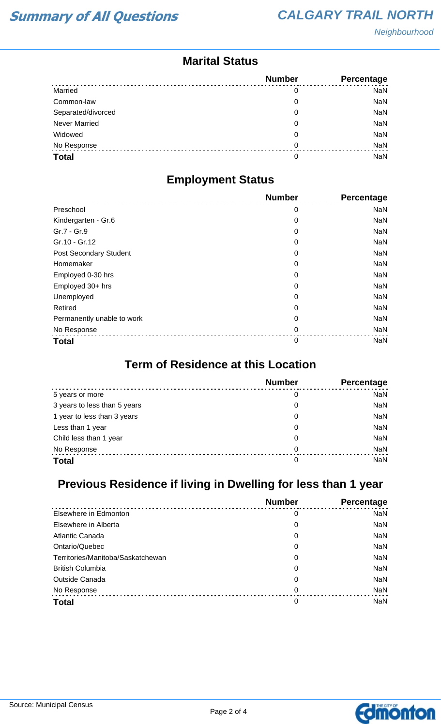**Neighbourhood** 

### **Marital Status**

|                      | <b>Number</b> | Percentage |
|----------------------|---------------|------------|
| Married              | 0             | <b>NaN</b> |
| Common-law           | 0             | NaN        |
| Separated/divorced   | 0             | <b>NaN</b> |
| <b>Never Married</b> | 0             | <b>NaN</b> |
| Widowed              | 0             | <b>NaN</b> |
| No Response          | 0             | NaN        |
| <b>Total</b>         | 0             | <b>NaN</b> |

### **Employment Status**

|                            | <b>Number</b> | Percentage |
|----------------------------|---------------|------------|
| Preschool                  | 0             | <b>NaN</b> |
| Kindergarten - Gr.6        | 0             | <b>NaN</b> |
| Gr.7 - Gr.9                | 0             | <b>NaN</b> |
| Gr.10 - Gr.12              | 0             | <b>NaN</b> |
| Post Secondary Student     | 0             | <b>NaN</b> |
| Homemaker                  | 0             | <b>NaN</b> |
| Employed 0-30 hrs          | 0             | <b>NaN</b> |
| Employed 30+ hrs           | 0             | <b>NaN</b> |
| Unemployed                 | 0             | <b>NaN</b> |
| Retired                    | 0             | <b>NaN</b> |
| Permanently unable to work | 0             | <b>NaN</b> |
| No Response                | 0             | <b>NaN</b> |
| <b>Total</b>               | 0             | <b>NaN</b> |

#### **Term of Residence at this Location**

|                              | <b>Number</b> | Percentage |
|------------------------------|---------------|------------|
| 5 years or more              | 0             | NaN        |
| 3 years to less than 5 years | 0             | NaN        |
| 1 year to less than 3 years  | 0             | NaN        |
| Less than 1 year             | 0             | NaN        |
| Child less than 1 year       | 0             | NaN        |
| No Response                  | $\Omega$      | NaN        |
| <b>Total</b>                 | 0             | NaN        |

## **Previous Residence if living in Dwelling for less than 1 year**

|                                   | <b>Number</b> | Percentage |
|-----------------------------------|---------------|------------|
| Elsewhere in Edmonton             | 0             | <b>NaN</b> |
| Elsewhere in Alberta              | 0             | <b>NaN</b> |
| Atlantic Canada                   | 0             | <b>NaN</b> |
| Ontario/Quebec                    | 0             | <b>NaN</b> |
| Territories/Manitoba/Saskatchewan | 0             | <b>NaN</b> |
| <b>British Columbia</b>           | 0             | <b>NaN</b> |
| <b>Outside Canada</b>             | 0             | <b>NaN</b> |
| No Response                       | 0             | <b>NaN</b> |
| <b>Total</b>                      | 0             | <b>NaN</b> |

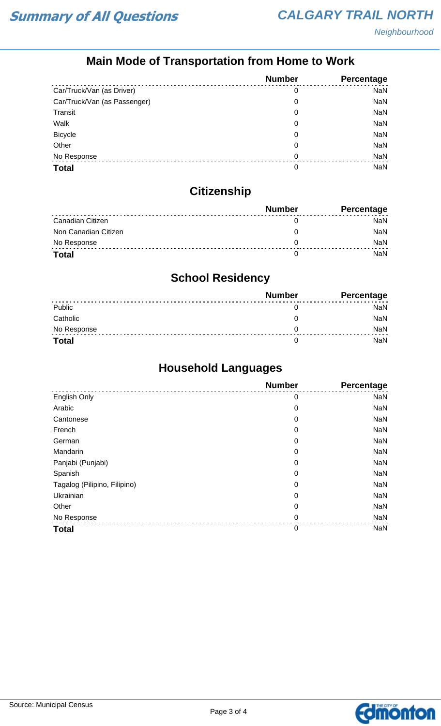## **Main Mode of Transportation from Home to Work**

|                              | <b>Number</b> | Percentage |
|------------------------------|---------------|------------|
| Car/Truck/Van (as Driver)    | 0             | <b>NaN</b> |
| Car/Truck/Van (as Passenger) | 0             | <b>NaN</b> |
| Transit                      | 0             | <b>NaN</b> |
| Walk                         | 0             | <b>NaN</b> |
| <b>Bicycle</b>               | 0             | <b>NaN</b> |
| Other                        | 0             | <b>NaN</b> |
| No Response                  | 0             | <b>NaN</b> |
| <b>Total</b>                 | 0             | NaN        |

## **Citizenship**

|                      | <b>Number</b> | <b>Percentage</b> |
|----------------------|---------------|-------------------|
| Canadian Citizen     |               | NaN               |
| Non Canadian Citizen |               | <b>NaN</b>        |
| No Response          |               | <b>NaN</b>        |
| <b>Total</b>         |               | NaN               |

## **School Residency**

|              | <b>Number</b> | <b>Percentage</b> |
|--------------|---------------|-------------------|
| Public       |               | NaN               |
| Catholic     |               | NaN               |
| No Response  |               | <b>NaN</b>        |
| <b>Total</b> |               | NaN               |

## **Household Languages**

|                              | <b>Number</b> | Percentage |
|------------------------------|---------------|------------|
| English Only                 | 0             | <b>NaN</b> |
| Arabic                       | 0             | <b>NaN</b> |
| Cantonese                    | 0             | <b>NaN</b> |
| French                       | 0             | <b>NaN</b> |
| German                       | 0             | <b>NaN</b> |
| Mandarin                     | 0             | <b>NaN</b> |
| Panjabi (Punjabi)            | 0             | <b>NaN</b> |
| Spanish                      | 0             | <b>NaN</b> |
| Tagalog (Pilipino, Filipino) | 0             | <b>NaN</b> |
| Ukrainian                    | 0             | <b>NaN</b> |
| Other                        | 0             | <b>NaN</b> |
| No Response                  | $\mathbf 0$   | <b>NaN</b> |
| <b>Total</b>                 | $\mathbf 0$   | <b>NaN</b> |